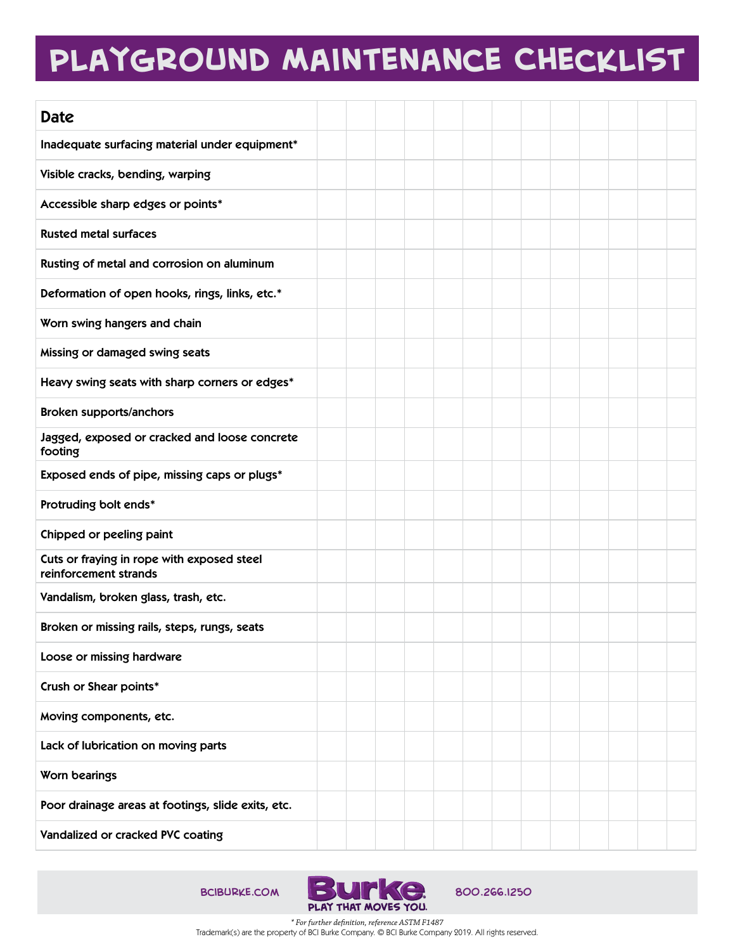## **Playground Maintenance Checklist**

| <b>Date</b>                                                         |  |  |  |  |  |  |  |
|---------------------------------------------------------------------|--|--|--|--|--|--|--|
| Inadequate surfacing material under equipment*                      |  |  |  |  |  |  |  |
| Visible cracks, bending, warping                                    |  |  |  |  |  |  |  |
| Accessible sharp edges or points*                                   |  |  |  |  |  |  |  |
| <b>Rusted metal surfaces</b>                                        |  |  |  |  |  |  |  |
| Rusting of metal and corrosion on aluminum                          |  |  |  |  |  |  |  |
| Deformation of open hooks, rings, links, etc.*                      |  |  |  |  |  |  |  |
| Worn swing hangers and chain                                        |  |  |  |  |  |  |  |
| Missing or damaged swing seats                                      |  |  |  |  |  |  |  |
| Heavy swing seats with sharp corners or edges*                      |  |  |  |  |  |  |  |
| <b>Broken supports/anchors</b>                                      |  |  |  |  |  |  |  |
| Jagged, exposed or cracked and loose concrete<br>footing            |  |  |  |  |  |  |  |
| Exposed ends of pipe, missing caps or plugs*                        |  |  |  |  |  |  |  |
| Protruding bolt ends*                                               |  |  |  |  |  |  |  |
| Chipped or peeling paint                                            |  |  |  |  |  |  |  |
| Cuts or fraying in rope with exposed steel<br>reinforcement strands |  |  |  |  |  |  |  |
| Vandalism, broken glass, trash, etc.                                |  |  |  |  |  |  |  |
| Broken or missing rails, steps, rungs, seats                        |  |  |  |  |  |  |  |
| Loose or missing hardware                                           |  |  |  |  |  |  |  |
| Crush or Shear points*                                              |  |  |  |  |  |  |  |
| Moving components, etc.                                             |  |  |  |  |  |  |  |
| Lack of lubrication on moving parts                                 |  |  |  |  |  |  |  |
| Worn bearings                                                       |  |  |  |  |  |  |  |
| Poor drainage areas at footings, slide exits, etc.                  |  |  |  |  |  |  |  |
| Vandalized or cracked PVC coating                                   |  |  |  |  |  |  |  |